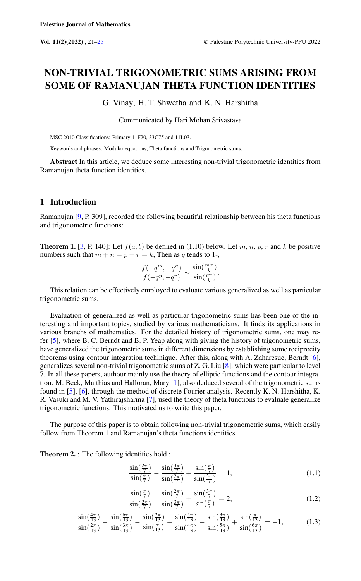# NON-TRIVIAL TRIGONOMETRIC SUMS ARISING FROM SOME OF RAMANUJAN THETA FUNCTION IDENTITIES

G. Vinay, H. T. Shwetha and K. N. Harshitha

Communicated by Hari Mohan Srivastava

MSC 2010 Classifications: Primary 11F20, 33C75 and 11L03.

Keywords and phrases: Modular equations, Theta functions and Trigonometric sums.

Abstract In this article, we deduce some interesting non-trivial trigonometric identities from Ramanujan theta function identities.

# 1 Introduction

Ramanujan [\[9,](#page-3-1) P. 309], recorded the following beautiful relationship between his theta functions and trigonometric functions:

**Theorem 1.** [\[3,](#page-3-2) P. 140]: Let  $f(a, b)$  be defined in (1.10) below. Let m, n, p, r and k be positive numbers such that  $m + n = p + r = k$ , Then as q tends to 1-,

$$
\frac{f(-q^m, -q^n)}{f(-q^p, -q^r)} \sim \frac{\sin(\frac{m\pi}{k})}{\sin(\frac{p\pi}{k})}.
$$

This relation can be effectively employed to evaluate various generalized as well as particular trigonometric sums.

Evaluation of generalized as well as particular trigonometric sums has been one of the interesting and important topics, studied by various mathematicians. It finds its applications in various branchs of mathematics. For the detailed history of trigonometric sums, one may refer [\[5\]](#page-3-3), where B. C. Berndt and B. P. Yeap along with giving the history of trigonometric sums, have generalized the trigonometric sums in different dimensions by establishing some reciprocity theorems using contour integration techinique. After this, along with A. Zaharesue, Berndt [\[6\]](#page-3-4), generalizes several non-trivial trigonometric sums of Z. G. Liu [\[8\]](#page-3-5), which were particular to level 7. In all these papers, authour mainly use the theory of elliptic functions and the contour integration. M. Beck, Matthias and Halloran, Mary [\[1\]](#page-3-6), also deduced several of the trigonometric sums found in [\[5\]](#page-3-3), [\[6\]](#page-3-4), through the method of discrete Fourier analysis. Recently K. N. Harshitha, K. R. Vasuki and M. V. Yathirajsharma [\[7\]](#page-3-7), used the theory of theta functions to evaluate generalize trigonometric functions. This motivated us to write this paper.

The purpose of this paper is to obtain following non-trivial trigonometric sums, which easily follow from Theorem 1 and Ramanujan's theta functions identities.

**Theorem 2.** : The following identities hold :

$$
\frac{\sin(\frac{2\pi}{7})}{\sin(\frac{\pi}{7})} - \frac{\sin(\frac{3\pi}{7})}{\sin(\frac{2\pi}{7})} + \frac{\sin(\frac{\pi}{7})}{\sin(\frac{3\pi}{7})} = 1,
$$
\n(1.1)

$$
\frac{\sin(\frac{\pi}{7})}{\sin(\frac{2\pi}{7})} - \frac{\sin(\frac{2\pi}{7})}{\sin(\frac{3\pi}{7})} + \frac{\sin(\frac{3\pi}{7})}{\sin(\frac{\pi}{7})} = 2,
$$
\n(1.2)

$$
\frac{\sin(\frac{4\pi}{13})}{\sin(\frac{2\pi}{13})} - \frac{\sin(\frac{6\pi}{13})}{\sin(\frac{3\pi}{13})} - \frac{\sin(\frac{2\pi}{13})}{\sin(\frac{\pi}{13})} + \frac{\sin(\frac{5\pi}{13})}{\sin(\frac{4\pi}{13})} - \frac{\sin(\frac{3\pi}{13})}{\sin(\frac{5\pi}{13})} + \frac{\sin(\frac{\pi}{13})}{\sin(\frac{6\pi}{13})} = -1,\tag{1.3}
$$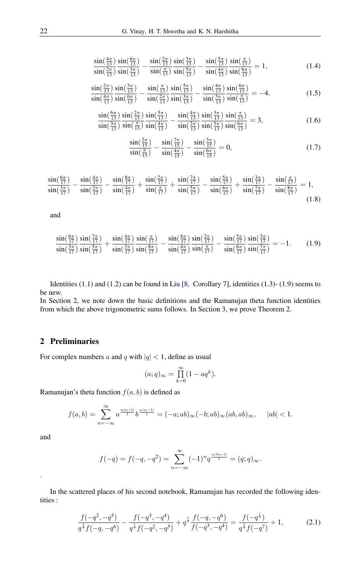$$
\frac{\sin(\frac{4\pi}{13})}{\sin(\frac{2\pi}{13})}\frac{\sin(\frac{6\pi}{13})}{\sin(\frac{3\pi}{13})} - \frac{\sin(\frac{2\pi}{13})}{\sin(\frac{\pi}{13})}\frac{\sin(\frac{3\pi}{13})}{\sin(\frac{5\pi}{13})} - \frac{\sin(\frac{5\pi}{13})}{\sin(\frac{4\pi}{13})}\frac{\sin(\frac{6\pi}{13})}{\sin(\frac{6\pi}{13})} = 1,\tag{1.4}
$$

$$
\frac{\sin(\frac{2\pi}{13})}{\sin(\frac{4\pi}{13})}\frac{\sin(\frac{3\pi}{13})}{\sin(\frac{6\pi}{13})} - \frac{\sin(\frac{\pi}{13})}{\sin(\frac{2\pi}{13})}\frac{\sin(\frac{5\pi}{13})}{\sin(\frac{3\pi}{13})} - \frac{\sin(\frac{4\pi}{13})}{\sin(\frac{5\pi}{13})}\frac{\sin(\frac{6\pi}{13})}{\sin(\frac{\pi}{13})} = -4,\tag{1.5}
$$

$$
\frac{\sin(\frac{6\pi}{13})}{\sin(\frac{3\pi}{13})}\frac{\sin(\frac{2\pi}{13})}{\sin(\frac{\pi}{13})}\frac{\sin(\frac{5\pi}{13})}{\sin(\frac{4\pi}{13})} - \frac{\sin(\frac{4\pi}{13})}{\sin(\frac{2\pi}{13})}\frac{\sin(\frac{3\pi}{13})}{\sin(\frac{5\pi}{13})}\frac{\sin(\frac{6\pi}{13})}{\sin(\frac{6\pi}{13})} = 3,\tag{1.6}
$$

$$
\frac{\sin(\frac{2\pi}{15})}{\sin(\frac{\pi}{15})} - \frac{\sin(\frac{7\pi}{15})}{\sin(\frac{4\pi}{15})} - \frac{\sin(\frac{3\pi}{15})}{\sin(\frac{6\pi}{15})} = 0,
$$
\n(1.7)

$$
\frac{\sin(\frac{6\pi}{17})}{\sin(\frac{3\pi}{17})} - \frac{\sin(\frac{4\pi}{17})}{\sin(\frac{2\pi}{17})} - \frac{\sin(\frac{8\pi}{17})}{\sin(\frac{4\pi}{17})} + \frac{\sin(\frac{7\pi}{17})}{\sin(\frac{\pi}{17})} + \frac{\sin(\frac{7\pi}{17})}{\sin(\frac{5\pi}{17})} - \frac{\sin(\frac{5\pi}{17})}{\sin(\frac{6\pi}{17})} + \frac{\sin(\frac{3\pi}{17})}{\sin(\frac{7\pi}{17})} - \frac{\sin(\frac{\pi}{17})}{\sin(\frac{8\pi}{17})} = 1,
$$
\n(1.8)

and

$$
\frac{\sin(\frac{6\pi}{17})}{\sin(\frac{3\pi}{17})}\frac{\sin(\frac{7\pi}{17})}{\sin(\frac{5\pi}{17})} + \frac{\sin(\frac{4\pi}{17})}{\sin(\frac{2\pi}{17})}\frac{\sin(\frac{\pi}{17})}{\sin(\frac{8\pi}{17})} - \frac{\sin(\frac{8\pi}{17})}{\sin(\frac{4\pi}{17})}\frac{\sin(\frac{2\pi}{17})}{\sin(\frac{7\pi}{17})} - \frac{\sin(\frac{5\pi}{17})}{\sin(\frac{6\pi}{17})}\frac{\sin(\frac{7\pi}{17})}{\sin(\frac{7\pi}{17})} = -1.
$$
(1.9)

Identities  $(1.1)$  and  $(1.2)$  can be found in Liu  $[8,$  Corollary 7], identities  $(1.3)$ - $(1.9)$  seems to be new.

In Section 2, we note down the basic definitions and the Ramanujan theta function identities from which the above trigonometric sums follows. In Section 3, we prove Theorem 2.

# 2 Preliminaries

For complex numbers a and q with  $|q|$  < 1, define as usual

$$
(a;q)_{\infty} = \prod_{k=0}^{\infty} (1 - aq^k).
$$

Ramanujan's theta function  $f(a, b)$  is defined as

$$
f(a,b) = \sum_{n=-\infty}^{\infty} a^{\frac{n(n+1)}{2}} b^{\frac{n(n-1)}{2}} = (-a; ab)_{\infty}(-b; ab)_{\infty}(ab, ab)_{\infty}, \quad |ab| < 1.
$$

and

.

$$
f(-q) = f(-q, -q^2) = \sum_{n=-\infty}^{\infty} (-1)^n q^{\frac{n(3n+1)}{2}} = (q; q)_{\infty}.
$$

In the scattered places of his second notebook, Ramanujan has recorded the following identities :

$$
\frac{f(-q^2, -q^5)}{q^{\frac{3}{7}}f(-q, -q^6)} - \frac{f(-q^3, -q^4)}{q^{\frac{1}{7}}f(-q^2, -q^5)} + q^{\frac{3}{7}}\frac{f(-q, -q^6)}{f(-q^3, -q^4)} = \frac{f(-q^{\frac{1}{7}})}{q^{\frac{2}{7}}f(-q^7)} + 1,\tag{2.1}
$$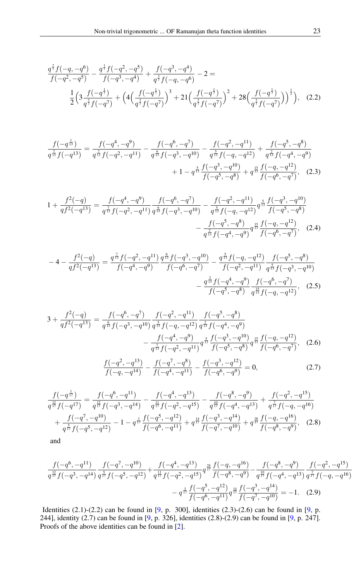$$
\frac{q^{\frac{2}{7}}f(-q,-q^{6})}{f(-q^{2},-q^{5})} - \frac{q^{\frac{1}{7}}f(-q^{2},-q^{5})}{f(-q^{3},-q^{4})} + \frac{f(-q^{3},-q^{4})}{q^{\frac{3}{7}}f(-q,-q^{6})} - 2 =
$$
\n
$$
\frac{1}{2}\Big(3\frac{f(-q^{\frac{1}{7}})}{q^{\frac{2}{7}}f(-q^{7})} + \Big(4\Big(\frac{f(-q^{\frac{1}{7}})}{q^{\frac{2}{7}}f(-q^{7})}\Big)^{3} + 21\Big(\frac{f(-q^{\frac{1}{7}})}{q^{\frac{2}{7}}f(-q^{7})}\Big)^{2} + 28\Big(\frac{f(-q^{\frac{1}{7}})}{q^{\frac{2}{7}}f(-q^{7})}\Big)^{1/2}\Big), (2.2)
$$

$$
\frac{f(-q^{\frac{1}{13}})}{q^{\frac{7}{13}}f(-q^{13})} = \frac{f(-q^4, -q^9)}{q^{\frac{7}{13}}f(-q^2, -q^{11})} - \frac{f(-q^6, -q^7)}{q^{\frac{6}{13}}f(-q^3, -q^{10})} - \frac{f(-q^2, -q^{11})}{q^{\frac{5}{13}}f(-q, -q^{12})} + \frac{f(-q^5, -q^8)}{q^{\frac{2}{13}}f(-q^4, -q^9)} + 1 - q^{\frac{5}{13}}\frac{f(-q^3, -q^{10})}{f(-q^5, -q^8)} + q^{\frac{15}{13}}\frac{f(-q, -q^{12})}{f(-q^6, -q^7)},
$$
(2.3)

$$
1 + \frac{f^2(-q)}{q f^2(-q^{13})} = \frac{f(-q^4, -q^9)}{q^{\frac{7}{13}} f(-q^2, -q^{11})} \frac{f(-q^6, -q^7)}{q^{\frac{6}{13}} f(-q^3, -q^{10})} - \frac{f(-q^2, -q^{11})}{q^{\frac{5}{13}} f(-q, -q^{12})} q^{\frac{5}{13}} \frac{f(-q^3, -q^{10})}{f(-q^5, -q^8)} - \frac{f(-q^5, -q^8)}{q^{\frac{2}{13}} f(-q^4, -q^9)} q^{\frac{15}{13}} \frac{f(-q, -q^{12})}{f(-q^6, -q^7)}, \quad (2.4)
$$

$$
-4 - \frac{f^2(-q)}{qf^2(-q^{13})} = \frac{q^{\frac{7}{13}}f(-q^2, -q^{11})}{f(-q^4, -q^9)} \frac{q^{\frac{6}{13}}f(-q^3, -q^{10})}{f(-q^6, -q^7)} - \frac{q^{\frac{5}{13}}f(-q, -q^{12})}{f(-q^2, -q^{11})} \frac{f(-q^5, -q^8)}{q^{\frac{5}{13}}f(-q^3, -q^{10})} - \frac{q^{\frac{2}{13}}f(-q^4, -q^9)}{f(-q^5, -q^8)} \frac{f(-q^6, -q^7)}{q^{\frac{15}{13}}f(-q, -q^{12})}, \quad (2.5)
$$

$$
3 + \frac{f^2(-q)}{q f^2(-q^{13})} = \frac{f(-q^6, -q^7)}{q^{\frac{6}{13}} f(-q^3, -q^{10})} \frac{f(-q^2, -q^{11})}{q^{\frac{5}{13}} f(-q, -q^{12})} \frac{f(-q^5, -q^8)}{q^{\frac{2}{13}} f(-q^4, -q^9)} - \frac{f(-q^4, -q^9)}{q^{\frac{7}{13}} f(-q^2, -q^{11})} q^{\frac{5}{13}} \frac{f(-q^3, -q^{10})}{f(-q^5, -q^8)} q^{\frac{15}{13}} \frac{f(-q, -q^{12})}{f(-q^6, -q^7)}, \quad (2.6)
$$

$$
\frac{f(-q^2, -q^{13})}{f(-q, -q^{14})} - \frac{f(-q^7, -q^8)}{f(-q^4, -q^{11})} - \frac{f(-q^3, -q^{12})}{f(-q^6, -q^9)} = 0,\tag{2.7}
$$

$$
\frac{f(-q^{\frac{1}{17}})}{q^{\frac{13}{17}}f(-q^{17})} = \frac{f(-q^6, -q^{11})}{q^{\frac{13}{17}}f(-q^3, -q^{14})} - \frac{f(-q^4, -q^{13})}{q^{\frac{11}{17}}f(-q^2, -q^{15})} - \frac{f(-q^8, -q^9)}{q^{\frac{10}{17}}f(-q^4, -q^{13})} + \frac{f(-q^2, -q^{15})}{q^{\frac{7}{17}}f(-q, -q^{16})} + \frac{f(-q^7, -q^{10})}{q^{\frac{5}{17}}f(-q^5, -q^{12})} - 1 - q^{\frac{3}{17}}\frac{f(-q^5, -q^{12})}{f(-q^6, -q^{11})} + q^{\frac{14}{17}}\frac{f(-q^3, -q^{14})}{f(-q^7, -q^{10})} + q^{\frac{28}{17}}\frac{f(-q, -q^{16})}{f(-q^8, -q^9)},
$$
\n(2.8)

and

$$
\frac{f(-q^6, -q^{11})}{q^{\frac{12}{17}}f(-q^3, -q^{14})} \frac{f(-q^7, -q^{10})}{q^{\frac{5}{17}}f(-q^5, -q^{12})} + \frac{f(-q^4, -q^{13})}{q^{\frac{11}{17}}f(-q^2, -q^{15})} q^{\frac{28}{17}} \frac{f(-q, -q^{16})}{f(-q^8, -q^9)} - \frac{f(-q^8, -q^9)}{q^{\frac{10}{17}}f(-q^4, -q^{13})} \frac{f(-q^2, -q^{15})}{q^{\frac{7}{17}}f(-q, -q^{16})} - q^{\frac{3}{17}} \frac{f(-q^5, -q^{12})}{f(-q^6, -q^{11})} q^{\frac{14}{17}} \frac{f(-q^3, -q^{14})}{f(-q^7, -q^{10})} = -1.
$$
 (2.9)

Identities  $(2.1)-(2.2)$  can be found in [\[9,](#page-3-1) p. 300], identities  $(2.3)-(2.6)$  can be found in [9, p. 244], identity (2.7) can be found in [\[9,](#page-3-1) p. 326], identities (2.8)-(2.9) can be found in [\[9,](#page-3-1) p. 247]. Proofs of the above identities can be found in [\[2\]](#page-3-8).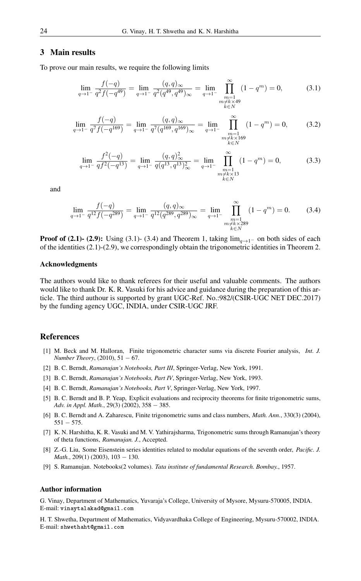### 3 Main results

To prove our main results, we require the following limits

$$
\lim_{q \to 1^{-}} \frac{f(-q)}{q^2 f(-q^{49})} = \lim_{q \to 1^{-}} \frac{(q, q)_{\infty}}{q^2 (q^{49}, q^{49})_{\infty}} = \lim_{q \to 1^{-}} \prod_{\substack{m=1 \ m \neq k \times 49 \\ k \in N}}^{\infty} (1 - q^m) = 0,
$$
\n(3.1)

$$
\lim_{q \to 1^{-}} \frac{f(-q)}{q^7 f(-q^{169})} = \lim_{q \to 1^{-}} \frac{(q, q)_{\infty}}{q^7 (q^{169}, q^{169})_{\infty}} = \lim_{\substack{q \to 1^{-} \\ m \neq k \times 169}} \prod_{\substack{m=1 \\ k \in N}}^{\infty} (1 - q^m) = 0,
$$
 (3.2)

$$
\lim_{q \to 1^{-}} \frac{f^2(-q)}{q f^2(-q^{13})} = \lim_{q \to 1^{-}} \frac{(q, q)_{\infty}^2}{q(q^{13}, q^{13})_{\infty}^2} = \lim_{q \to 1^{-}} \prod_{\substack{m=1 \\ m \neq k \times 13 \\ k \in N}}^{\infty} (1 - q^m) = 0,
$$
\n(3.3)

and

$$
\lim_{q \to 1^{-}} \frac{f(-q)}{q^{12} f(-q^{289})} = \lim_{q \to 1^{-}} \frac{(q, q)_{\infty}}{q^{12} (q^{289}, q^{289})_{\infty}} = \lim_{\substack{q \to 1^{-} \\ n \neq k \times 289 \\ k \in N}} \prod_{\substack{m=1 \\ k \in N}}^{\infty} (1 - q^m) = 0. \tag{3.4}
$$

**Proof of (2.1)- (2.9):** Using (3.1)- (3.4) and Theorem 1, taking  $\lim_{n\to 1^-}$  on both sides of each of the identities (2.1)-(2.9), we correspondingly obtain the trigonometric identities in Theorem 2.

#### Acknowledgments

The authors would like to thank referees for their useful and valuable comments. The authors would like to thank Dr. K. R. Vasuki for his advice and guidance during the preparation of this article. The third authour is supported by grant UGC-Ref. No.:982/(CSIR-UGC NET DEC.2017) by the funding agency UGC, INDIA, under CSIR-UGC JRF.

## <span id="page-3-0"></span>References

- <span id="page-3-6"></span>[1] M. Beck and M. Halloran, Finite trigonometric character sums via discrete Fourier analysis, *Int. J. Number Theory*, (2010), 51 − 67.
- <span id="page-3-8"></span>[2] B. C. Berndt, *Ramanujan's Notebooks, Part III*, Springer-Verlag, New York, 1991.
- <span id="page-3-2"></span>[3] B. C. Berndt, *Ramanujan's Notebooks, Part IV*, Springer-Verlag, New York, 1993.
- [4] B. C. Berndt, *Ramanujan's Notebooks, Part V*, Springer-Verlag, New York, 1997.
- <span id="page-3-3"></span>[5] B. C. Berndt and B. P. Yeap, Explicit evaluations and reciprocity theorems for finite trigonometric sums, *Adv. in Appl. Math.*, 29(3) (2002), 358 − 385.
- <span id="page-3-4"></span>[6] B. C. Berndt and A. Zaharescu, Finite trigonometric sums and class numbers, *Math. Ann.*, 330(3) (2004),  $551 - 575.$
- <span id="page-3-7"></span>[7] K. N. Harshitha, K. R. Vasuki and M. V. Yathirajsharma, Trigonometric sums through Ramanujan's theory of theta functions, *Ramanujan. J.*, Accepted.
- <span id="page-3-5"></span>[8] Z.-G. Liu, Some Eisenstein series identities related to modular equations of the seventh order, *Pacific. J. Math.*, 209(1) (2003), 103 − 130.
- <span id="page-3-1"></span>[9] S. Ramanujan. Notebooks(2 volumes). *Tata institute of fundamental Research. Bombay.*, 1957.

#### Author information

G. Vinay, Department of Mathematics, Yuvaraja's College, University of Mysore, Mysuru-570005, INDIA. E-mail: vinaytalakad@gmail.com

H. T. Shwetha, Department of Mathematics, Vidyavardhaka College of Engineering, Mysuru-570002, INDIA. E-mail: shwethaht@gmail.com